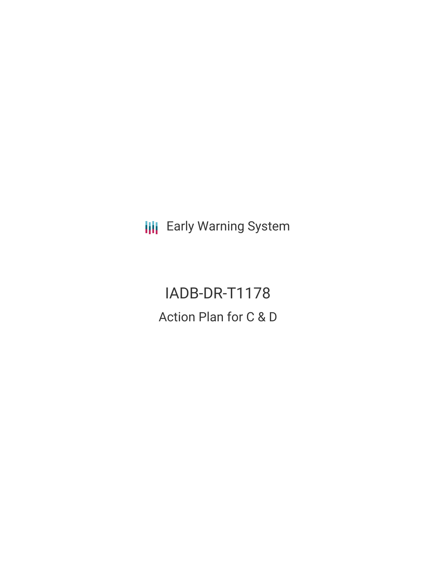**III** Early Warning System

IADB-DR-T1178 Action Plan for C & D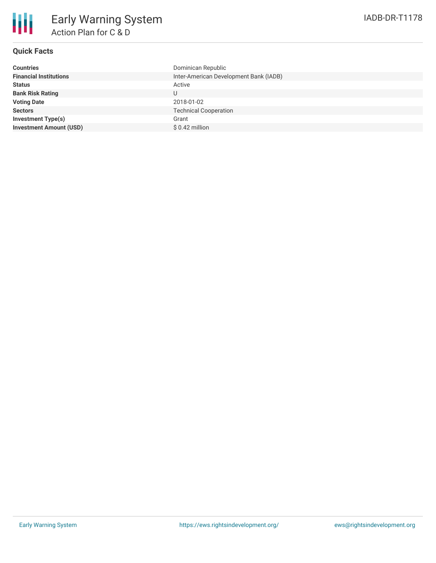| <b>Countries</b>               | Dominican Republic                     |
|--------------------------------|----------------------------------------|
| <b>Financial Institutions</b>  | Inter-American Development Bank (IADB) |
| <b>Status</b>                  | Active                                 |
| <b>Bank Risk Rating</b>        | U                                      |
| <b>Voting Date</b>             | 2018-01-02                             |
| <b>Sectors</b>                 | <b>Technical Cooperation</b>           |
| <b>Investment Type(s)</b>      | Grant                                  |
| <b>Investment Amount (USD)</b> | $$0.42$ million                        |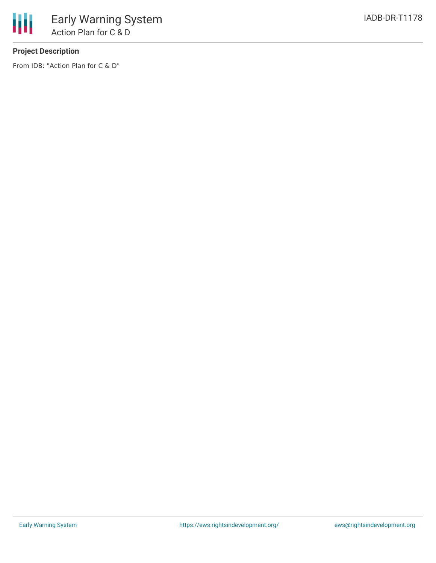

## **Project Description**

From IDB: "Action Plan for C & D"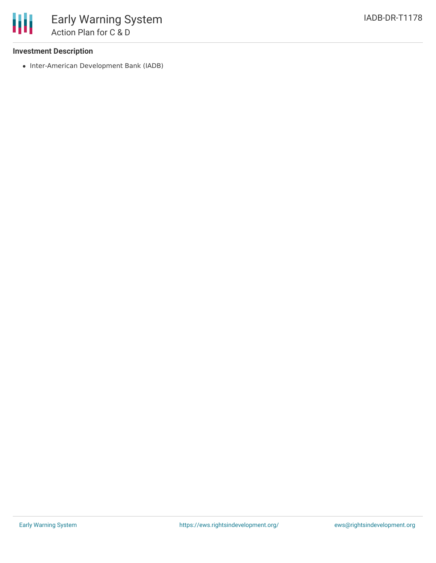## **Investment Description**

• Inter-American Development Bank (IADB)